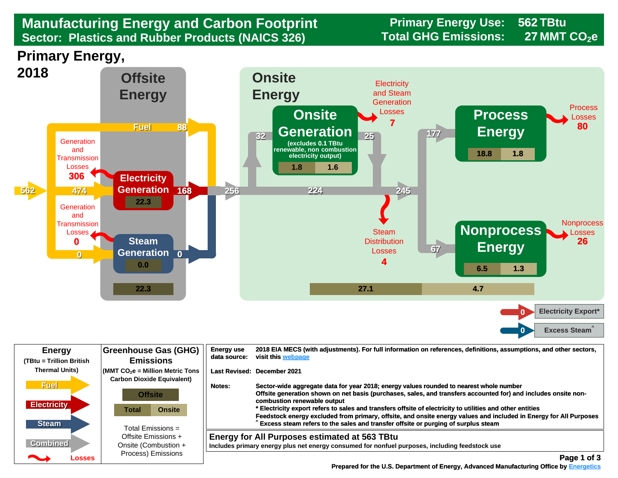## Sector: Plastics and Rubber Products (NAICS 326) **Total GHG Emissions:** 27 MMT CO<sub>2</sub>e **Manufacturing Energy and Carbon Footprint Frimary Energy Use:** 6. The Sector: Plastics and Rubber Products (NAICS 326)

**562**

**27**





| <b>Energy</b><br>(TBtu = Trillion British         | Greenhouse Gas (GHG)<br><b>Emissions</b>                                                                                             | <b>Energy use</b><br>data source: | 2018 EIA MECS (with adjustments). For full information on references, definitions, assumptions, and other sectors,<br>visit this webpage                                                                                                                                                                                                                                                                                                                                                                                                                        |
|---------------------------------------------------|--------------------------------------------------------------------------------------------------------------------------------------|-----------------------------------|-----------------------------------------------------------------------------------------------------------------------------------------------------------------------------------------------------------------------------------------------------------------------------------------------------------------------------------------------------------------------------------------------------------------------------------------------------------------------------------------------------------------------------------------------------------------|
| <b>Thermal Units)</b>                             | $\mathsf{MMT}$ CO $_2$ e = Million Metric Tons<br><b>Carbon Dioxide Equivalent)</b>                                                  |                                   | Last Revised: December 2021                                                                                                                                                                                                                                                                                                                                                                                                                                                                                                                                     |
| <b>Fuel</b><br><b>Electricity</b><br><b>Steam</b> | <b>Offsite</b><br><b>Onsite</b><br>Total<br>Total Emissions $=$<br>Offsite Emissions +<br>Onsite (Combustion +<br>Process) Emissions | Notes:                            | Sector-wide aggregate data for year 2018; energy values rounded to nearest whole number<br>Offsite generation shown on net basis (purchases, sales, and transfers accounted for) and includes onsite non-<br>combustion renewable output<br>* Electricity export refers to sales and transfers offsite of electricity to utilities and other entities<br>Feedstock energy excluded from primary, offsite, and onsite energy values and included in Energy for All Purposes<br>Excess steam refers to the sales and transfer offsite or purging of surplus steam |
| <b>Combined</b><br><b>Property</b><br>Losses      |                                                                                                                                      |                                   | <b>Energy for All Purposes estimated at 563 TBtu</b><br>Includes primary energy plus net energy consumed for nonfuel purposes, including feedstock use<br>Page 1 of 3                                                                                                                                                                                                                                                                                                                                                                                           |

 **[Prepared for the U.S. Department of Energy, Advanced Manufacturing Office by Energetics](https://www.energetics.com/) Manufacturing Energetics**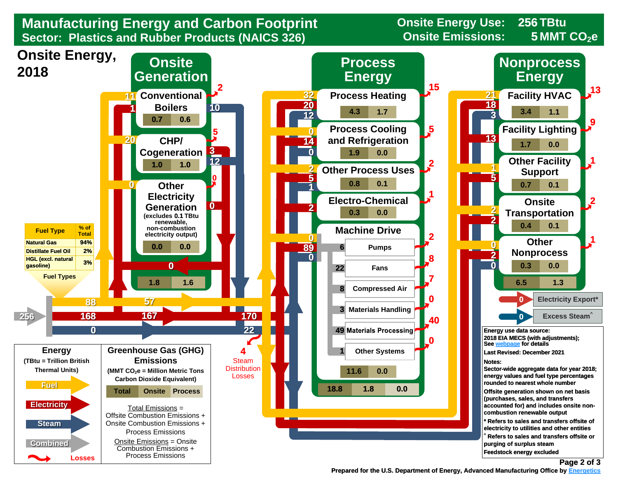

 **Prepared for the U.S. Department of Energy, Advanced Manufacturing Office by Energetics Energetics** 

**Page 2 of 3**